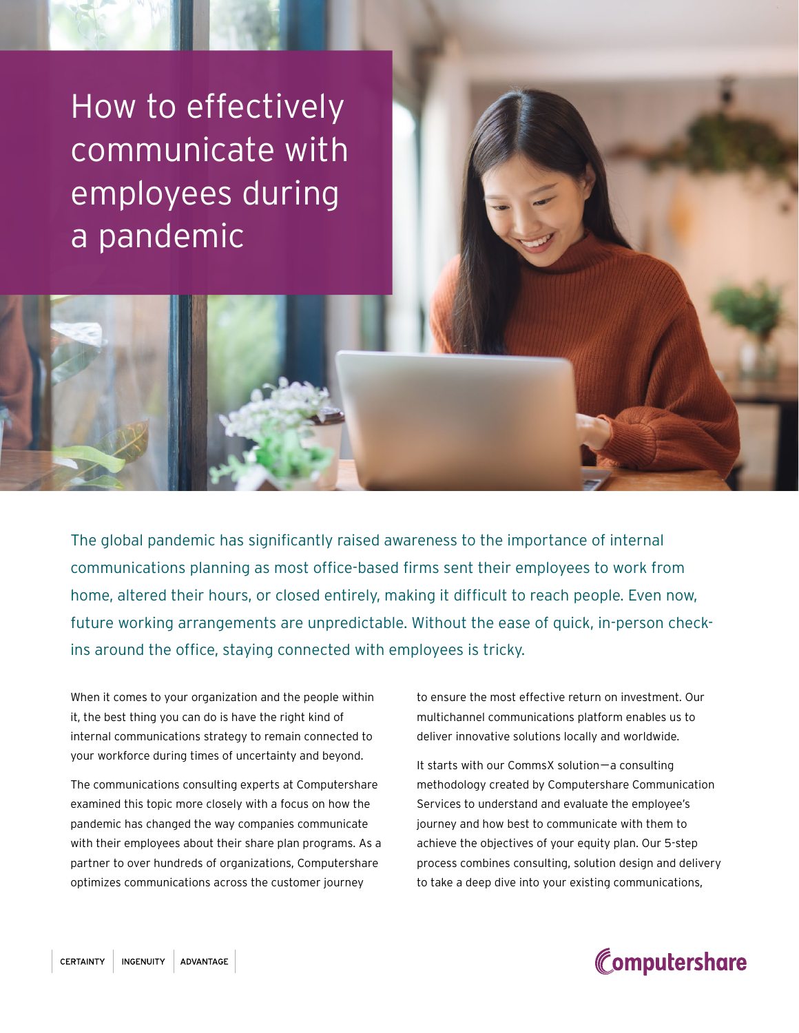How to effectively communicate with employees during a pandemic

The global pandemic has significantly raised awareness to the importance of internal communications planning as most office-based firms sent their employees to work from home, altered their hours, or closed entirely, making it difficult to reach people. Even now, future working arrangements are unpredictable. Without the ease of quick, in-person checkins around the office, staying connected with employees is tricky.

When it comes to your organization and the people within it, the best thing you can do is have the right kind of internal communications strategy to remain connected to your workforce during times of uncertainty and beyond.

The communications consulting experts at Computershare examined this topic more closely with a focus on how the pandemic has changed the way companies communicate with their employees about their share plan programs. As a partner to over hundreds of organizations, Computershare optimizes communications across the customer journey

to ensure the most effective return on investment. Our multichannel communications platform enables us to deliver innovative solutions locally and worldwide.

It starts with our CommsX solution—a consulting methodology created by Computershare Communication Services to understand and evaluate the employee's journey and how best to communicate with them to achieve the objectives of your equity plan. Our 5-step process combines consulting, solution design and delivery to take a deep dive into your existing communications,

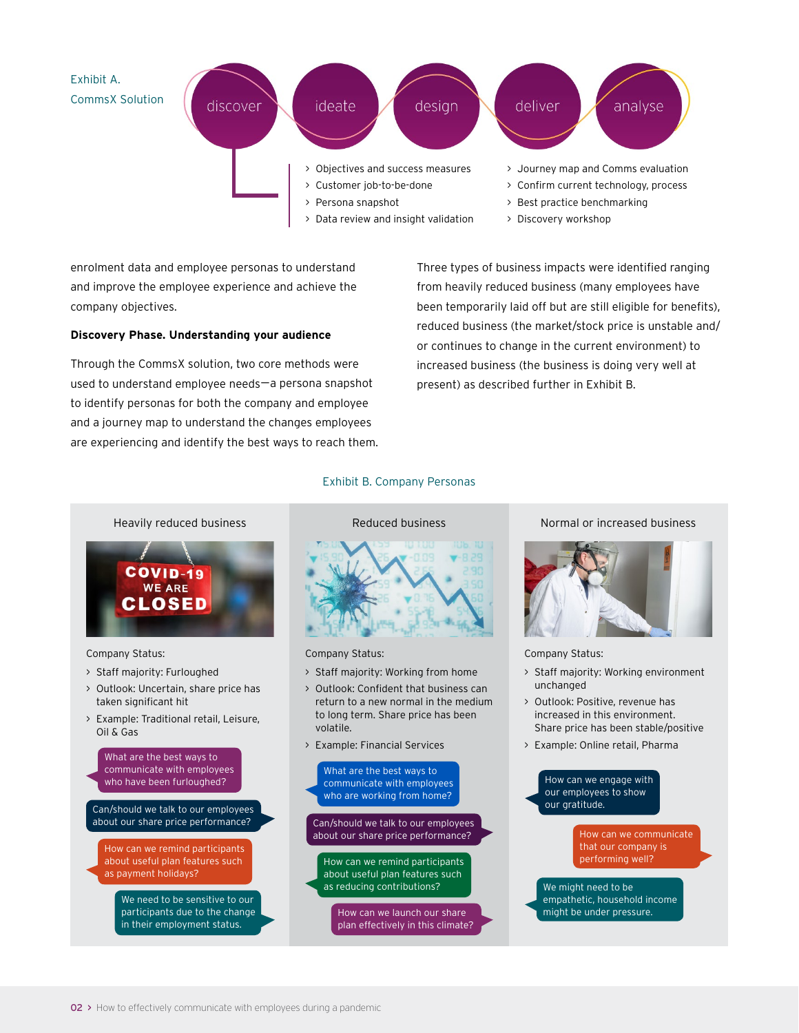

enrolment data and employee personas to understand and improve the employee experience and achieve the company objectives.

#### **Discovery Phase. Understanding your audience**

Through the CommsX solution, two core methods were used to understand employee needs—a persona snapshot to identify personas for both the company and employee and a journey map to understand the changes employees are experiencing and identify the best ways to reach them. Three types of business impacts were identified ranging from heavily reduced business (many employees have been temporarily laid off but are still eligible for benefits), reduced business (the market/stock price is unstable and/ or continues to change in the current environment) to increased business (the business is doing very well at present) as described further in Exhibit B.



#### Company Status:

- > Staff majority: Furloughed
- > Outlook: Uncertain, share price has taken significant hit
- > Example: Traditional retail, Leisure, Oil & Gas

What are the best ways to communicate with employees who have been furloughed?

Can/should we talk to our employees about our share price performance? Can/should we talk to our employees

How can we remind participants about useful plan features such as payment holidays?

> We need to be sensitive to our participants due to the change in their employment status.

### Exhibit B. Company Personas



Company Status:

- > Staff majority: Working from home
- > Outlook: Confident that business can return to a new normal in the medium to long term. Share price has been volatile.
- > Example: Financial Services



about our share price performance?

How can we remind participants about useful plan features such as reducing contributions?

> How can we launch our share plan effectively in this climate?

#### Normal or increased business



#### Company Status:

- > Staff majority: Working environment unchanged
- > Outlook: Positive, revenue has increased in this environment. Share price has been stable/positive
- > Example: Online retail, Pharma

How can we engage with our employees to show our gratitude.

How can we communicate that our company is performing well?

We might need to be empathetic, household income might be under pressure.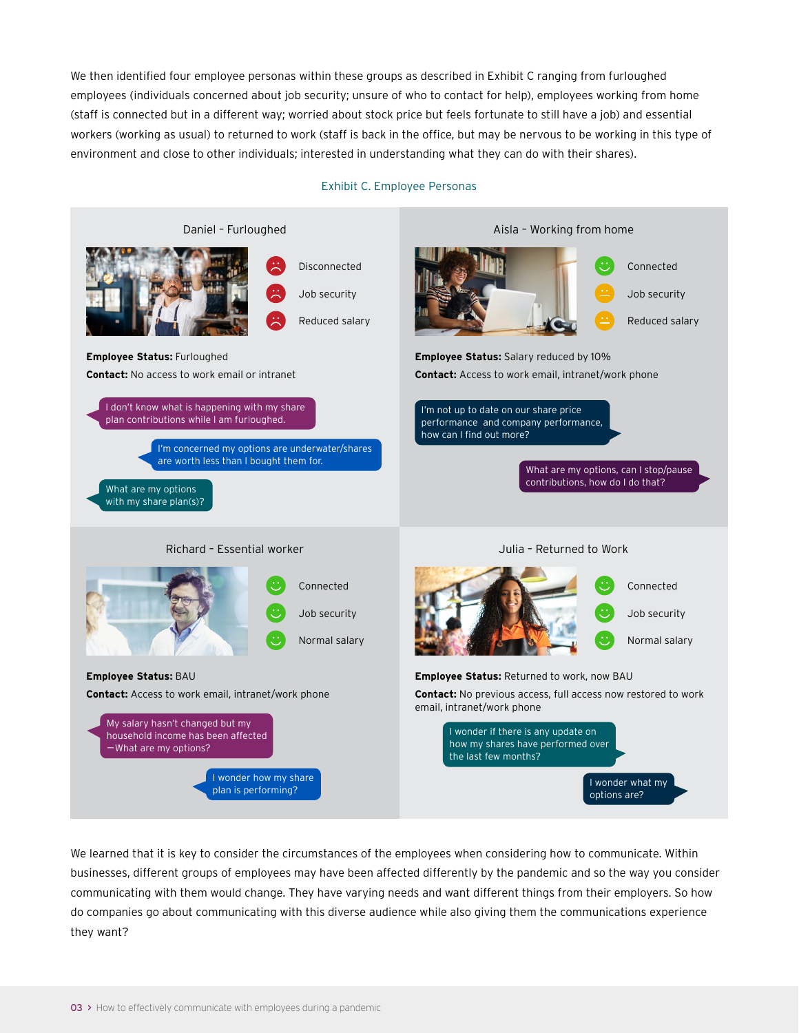We then identified four employee personas within these groups as described in Exhibit C ranging from furloughed employees (individuals concerned about job security; unsure of who to contact for help), employees working from home (staff is connected but in a different way; worried about stock price but feels fortunate to still have a job) and essential workers (working as usual) to returned to work (staff is back in the office, but may be nervous to be working in this type of environment and close to other individuals; interested in understanding what they can do with their shares).

#### Exhibit C. Employee Personas



We learned that it is key to consider the circumstances of the employees when considering how to communicate. Within businesses, different groups of employees may have been affected differently by the pandemic and so the way you consider communicating with them would change. They have varying needs and want different things from their employers. So how do companies go about communicating with this diverse audience while also giving them the communications experience they want?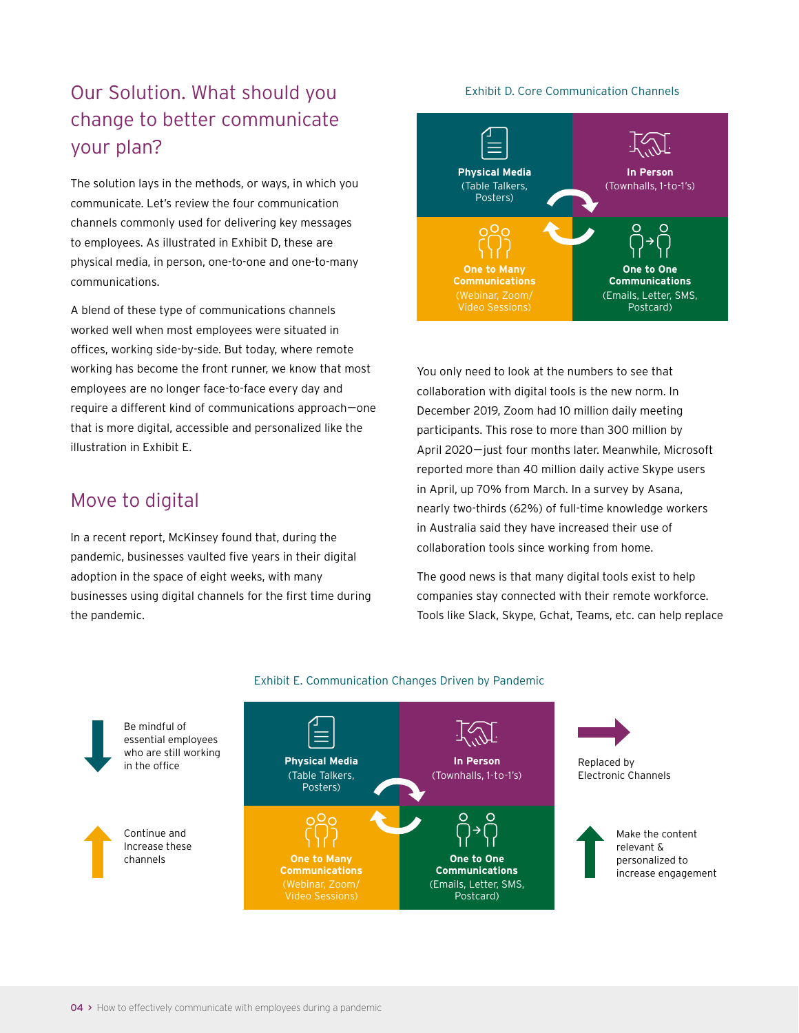# Our Solution. What should you Exhibit D. Core Communication Channels change to better communicate your plan?

The solution lays in the methods, or ways, in which you communicate. Let's review the four communication channels commonly used for delivering key messages to employees. As illustrated in Exhibit D, these are physical media, in person, one-to-one and one-to-many communications.

A blend of these type of communications channels worked well when most employees were situated in offices, working side-by-side. But today, where remote working has become the front runner, we know that most employees are no longer face-to-face every day and require a different kind of communications approach—one that is more digital, accessible and personalized like the illustration in Exhibit E.

# Move to digital

In a recent report, McKinsey found that, during the pandemic, businesses vaulted five years in their digital adoption in the space of eight weeks, with many businesses using digital channels for the first time during the pandemic.



You only need to look at the numbers to see that collaboration with digital tools is the new norm. In December 2019, Zoom had 10 million daily meeting participants. This rose to more than 300 million by April 2020—just four months later. Meanwhile, Microsoft reported more than 40 million daily active Skype users in April, up 70% from March. In a survey by Asana, nearly two-thirds (62%) of full-time knowledge workers in Australia said they have increased their use of collaboration tools since working from home.

The good news is that many digital tools exist to help companies stay connected with their remote workforce. Tools like Slack, Skype, Gchat, Teams, etc. can help replace



### Exhibit E. Communication Changes Driven by Pandemic

Be mindful of essential employees who are still working

Continue and Increase these channels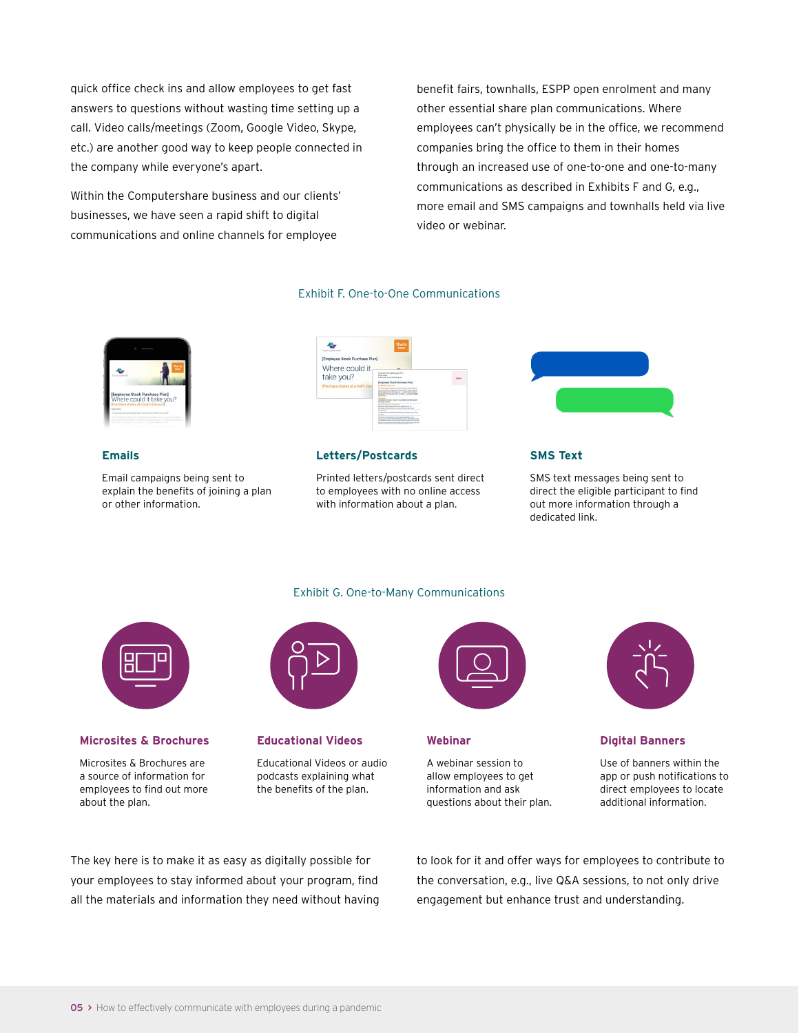quick office check ins and allow employees to get fast answers to questions without wasting time setting up a call. Video calls/meetings (Zoom, Google Video, Skype, etc.) are another good way to keep people connected in the company while everyone's apart.

Within the Computershare business and our clients' businesses, we have seen a rapid shift to digital communications and online channels for employee

benefit fairs, townhalls, ESPP open enrolment and many other essential share plan communications. Where employees can't physically be in the office, we recommend companies bring the office to them in their homes through an increased use of one-to-one and one-to-many communications as described in Exhibits F and G, e.g., more email and SMS campaigns and townhalls held via live video or webinar.

### Exhibit F. One-to-One Communications



### **Emails**

Email campaigns being sent to explain the benefits of joining a plan or other information.



### **Letters/Postcards**

Printed letters/postcards sent direct to employees with no online access with information about a plan.

Exhibit G. One-to-Many Communications



#### **SMS Text**

SMS text messages being sent to direct the eligible participant to find out more information through a dedicated link.



#### **Microsites & Brochures**

Microsites & Brochures are a source of information for employees to find out more about the plan.



#### **Educational Videos**

Educational Videos or audio podcasts explaining what the benefits of the plan.



#### **Webinar**

A webinar session to allow employees to get information and ask questions about their plan.



#### **Digital Banners**

Use of banners within the app or push notifications to direct employees to locate additional information.

The key here is to make it as easy as digitally possible for your employees to stay informed about your program, find all the materials and information they need without having to look for it and offer ways for employees to contribute to the conversation, e.g., live Q&A sessions, to not only drive engagement but enhance trust and understanding.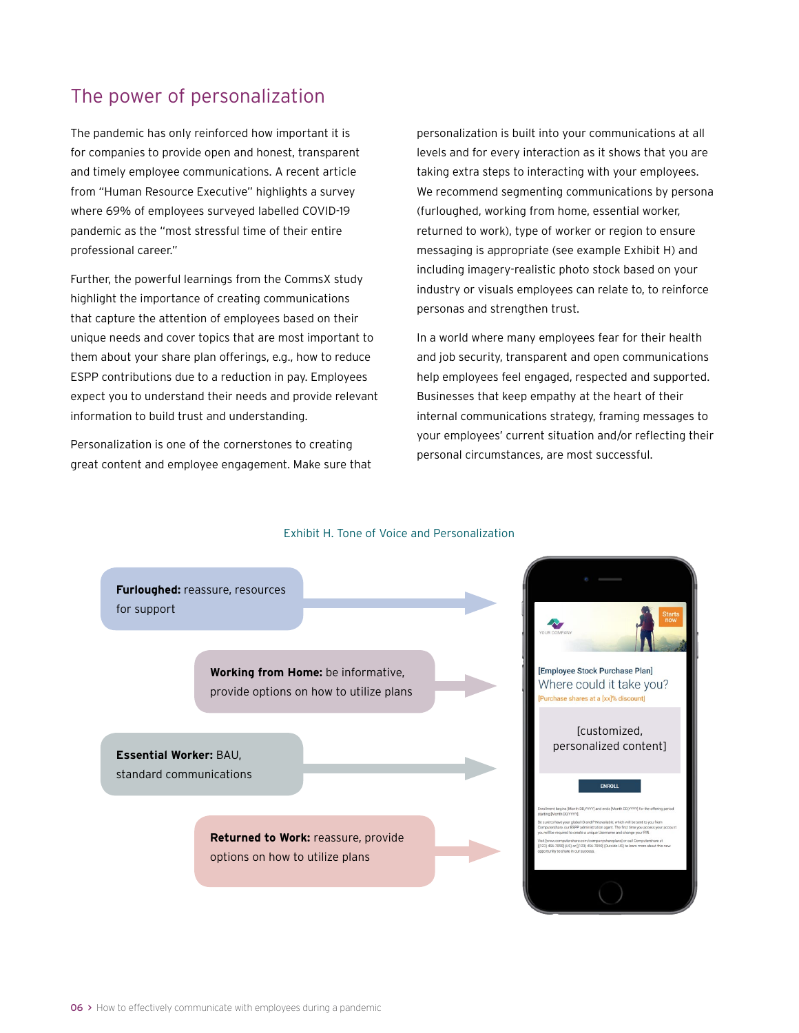# The power of personalization

The pandemic has only reinforced how important it is for companies to provide open and honest, transparent and timely employee communications. A recent article from "Human Resource Executive" highlights a survey where 69% of employees surveyed labelled COVID-19 pandemic as the "most stressful time of their entire professional career."

Further, the powerful learnings from the CommsX study highlight the importance of creating communications that capture the attention of employees based on their unique needs and cover topics that are most important to them about your share plan offerings, e.g., how to reduce ESPP contributions due to a reduction in pay. Employees expect you to understand their needs and provide relevant information to build trust and understanding.

Personalization is one of the cornerstones to creating great content and employee engagement. Make sure that

personalization is built into your communications at all levels and for every interaction as it shows that you are taking extra steps to interacting with your employees. We recommend segmenting communications by persona (furloughed, working from home, essential worker, returned to work), type of worker or region to ensure messaging is appropriate (see example Exhibit H) and including imagery-realistic photo stock based on your industry or visuals employees can relate to, to reinforce personas and strengthen trust.

In a world where many employees fear for their health and job security, transparent and open communications help employees feel engaged, respected and supported. Businesses that keep empathy at the heart of their internal communications strategy, framing messages to your employees' current situation and/or reflecting their personal circumstances, are most successful.

#### Exhibit H. Tone of Voice and Personalization